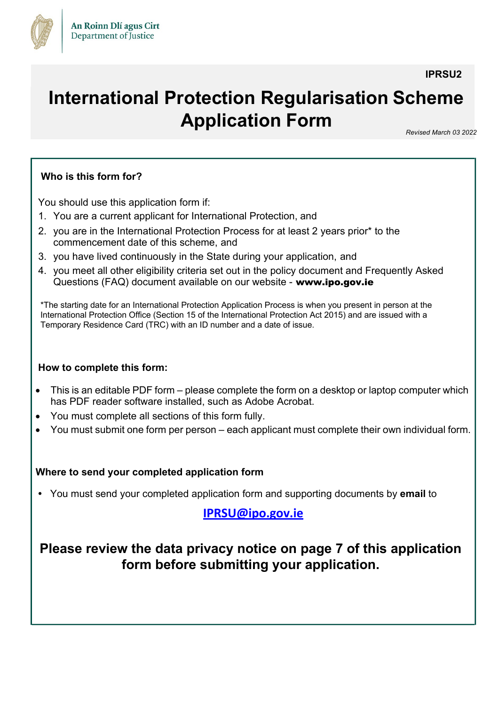

**IPRSU2**

# **International Protection Regularisation Scheme Application Form** *Revised March 03 <sup>2022</sup>*

#### **Who is this form for?**

You should use this application form if:

- 1. You are a current applicant for International Protection, and
- 2. you are in the International Protection Process for at least 2 years prior\* to the commencement date of this scheme, and
- 3. you have lived continuously in the State during your application, and
- 4. you meet all other eligibility criteria set out in the policy document and Frequently Asked Questions (FAQ) document available on our website - www.ipo.gov.ie

\*The starting date for an International Protection Application Process is when you present in person at the International Protection Office (Section 15 of the International Protection Act 2015) and are issued with a Temporary Residence Card (TRC) with an ID number and a date of issue.

#### **How to complete this form:**

- This is an editable PDF form please complete the form on a desktop or laptop computer which has PDF reader software installed, such as Adobe Acrobat.
- You must complete all sections of this form fully.
- You must submit one form per person each applicant must complete their own individual form.

#### **Where to send your completed application form**

**•** You must send your completed application form and supporting documents by **email** to

### **IPRSU@ipo.gov.ie**

# **Please review the data privacy notice on page 7 of this application form before submitting your application.**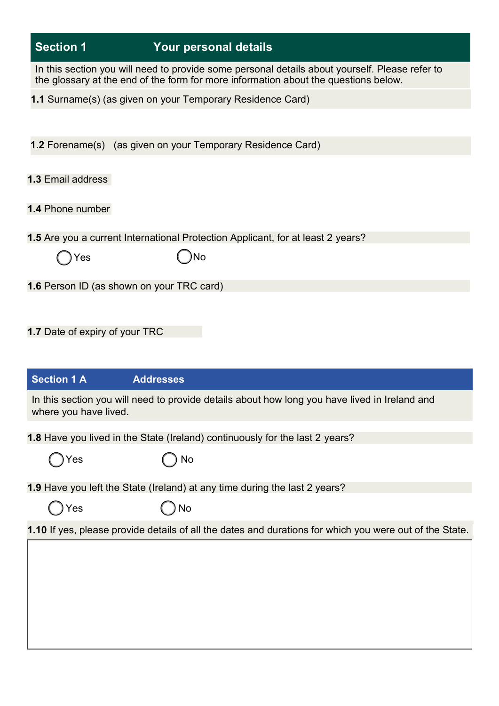| <b>Section 1</b>                            | Your personal details                                                                                                                                                                 |
|---------------------------------------------|---------------------------------------------------------------------------------------------------------------------------------------------------------------------------------------|
|                                             | In this section you will need to provide some personal details about yourself. Please refer to<br>the glossary at the end of the form for more information about the questions below. |
|                                             | 1.1 Surname(s) (as given on your Temporary Residence Card)                                                                                                                            |
|                                             |                                                                                                                                                                                       |
|                                             | 1.2 Forename(s) (as given on your Temporary Residence Card)                                                                                                                           |
| <b>1.3 Email address</b>                    |                                                                                                                                                                                       |
| 1.4 Phone number                            |                                                                                                                                                                                       |
|                                             | 1.5 Are you a current International Protection Applicant, for at least 2 years?                                                                                                       |
| Yes                                         | )No                                                                                                                                                                                   |
|                                             | 1.6 Person ID (as shown on your TRC card)                                                                                                                                             |
|                                             |                                                                                                                                                                                       |
|                                             |                                                                                                                                                                                       |
| <b>Section 1 A</b><br>where you have lived. | <b>Addresses</b><br>In this section you will need to provide details about how long you have lived in Ireland and                                                                     |
|                                             | 1.8 Have you lived in the State (Ireland) continuously for the last 2 years?                                                                                                          |
| Yes                                         | No                                                                                                                                                                                    |
|                                             | 1.9 Have you left the State (Ireland) at any time during the last 2 years?                                                                                                            |
| Yes                                         | No                                                                                                                                                                                    |
|                                             | 1.10 If yes, please provide details of all the dates and durations for which you were out of the State.                                                                               |
|                                             |                                                                                                                                                                                       |
|                                             |                                                                                                                                                                                       |
|                                             |                                                                                                                                                                                       |
|                                             |                                                                                                                                                                                       |
|                                             |                                                                                                                                                                                       |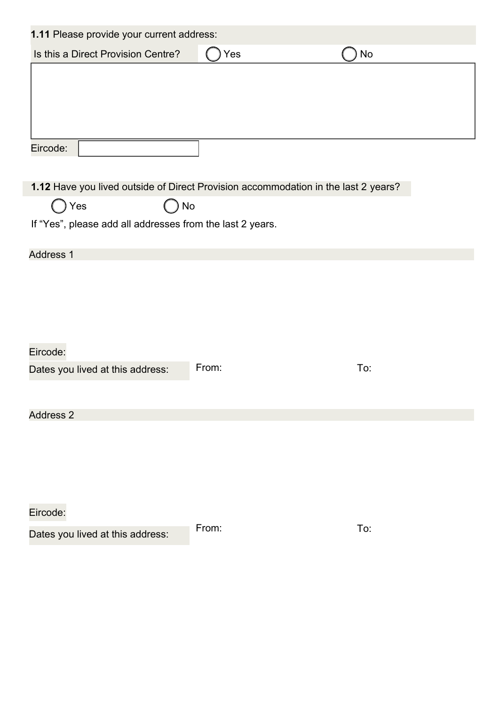| 1.11 Please provide your current address:                                          |       |                              |
|------------------------------------------------------------------------------------|-------|------------------------------|
| Is this a Direct Provision Centre?                                                 | Yes   | $\operatorname{\mathsf{No}}$ |
|                                                                                    |       |                              |
|                                                                                    |       |                              |
|                                                                                    |       |                              |
|                                                                                    |       |                              |
| Eircode:                                                                           |       |                              |
|                                                                                    |       |                              |
| 1.12 Have you lived outside of Direct Provision accommodation in the last 2 years? |       |                              |
| Yes<br>No                                                                          |       |                              |
| If "Yes", please add all addresses from the last 2 years.                          |       |                              |
|                                                                                    |       |                              |
| <b>Address 1</b>                                                                   |       |                              |
|                                                                                    |       |                              |
|                                                                                    |       |                              |
|                                                                                    |       |                              |
|                                                                                    |       |                              |
| Eircode:                                                                           |       |                              |
| Dates you lived at this address:                                                   | From: | To:                          |
|                                                                                    |       |                              |
| <b>Address 2</b>                                                                   |       |                              |
|                                                                                    |       |                              |
|                                                                                    |       |                              |
|                                                                                    |       |                              |
|                                                                                    |       |                              |
| Eircode:                                                                           |       |                              |
| Dates you lived at this address:                                                   | From: | To:                          |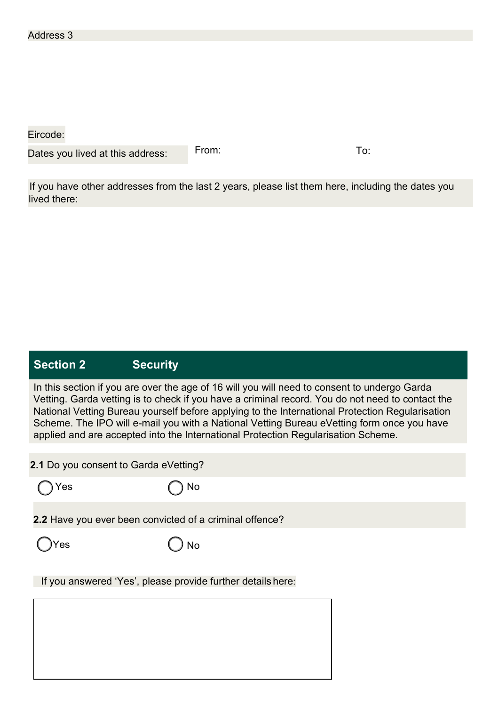Eircode:

Dates you lived at this address:

From: To:

If you have other addresses from the last 2 years, please list them here, including the dates you lived there:

# **Section 2 Security**

In this section if you are over the age of 16 will you will need to consent to undergo Garda Vetting. Garda vetting is to check if you have a criminal record. You do not need to contact the National Vetting Bureau yourself before applying to the International Protection Regularisation Scheme. The IPO will e-mail you with a National Vetting Bureau eVetting form once you have applied and are accepted into the International Protection Regularisation Scheme.

|     | 2.1 Do you consent to Garda eVetting?                       |  |
|-----|-------------------------------------------------------------|--|
| Yes | No                                                          |  |
|     | 2.2 Have you ever been convicted of a criminal offence?     |  |
| 'es | <b>No</b>                                                   |  |
|     | If you answered 'Yes', please provide further details here: |  |
|     |                                                             |  |
|     |                                                             |  |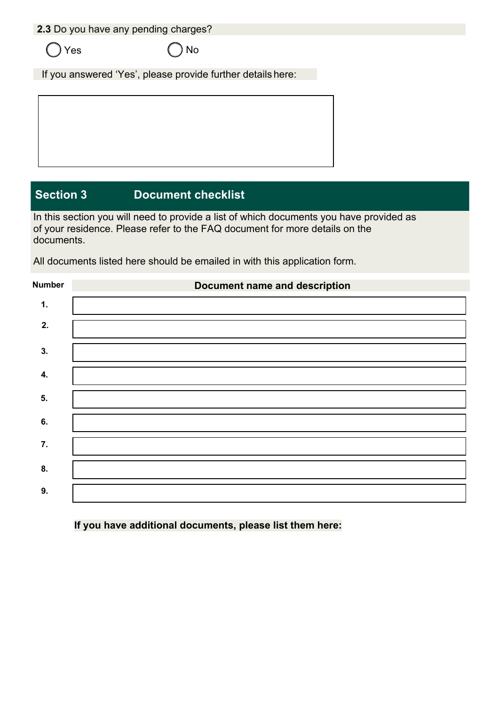**2.3** Do you have any pending charges?

 $\bigcap$  Yes  $\bigcap$  No

If you answered 'Yes', please provide further details here:

**Section 3 Document checklist**

of your residence. Please refer to the FAQ document for more details on the documents. In this section you will need to provide a list of which documents you have provided as

All documents listed here should be emailed in with this application form.

| <b>Number</b> | <b>Document name and description</b> |
|---------------|--------------------------------------|
| $\mathbf 1$ . |                                      |
| 2.            |                                      |
| 3.            |                                      |
| 4.            |                                      |
| 5.            |                                      |
| 6.            |                                      |
| 7.            |                                      |
| 8.            |                                      |
| 9.            |                                      |

**If you have additional documents, please list them here:**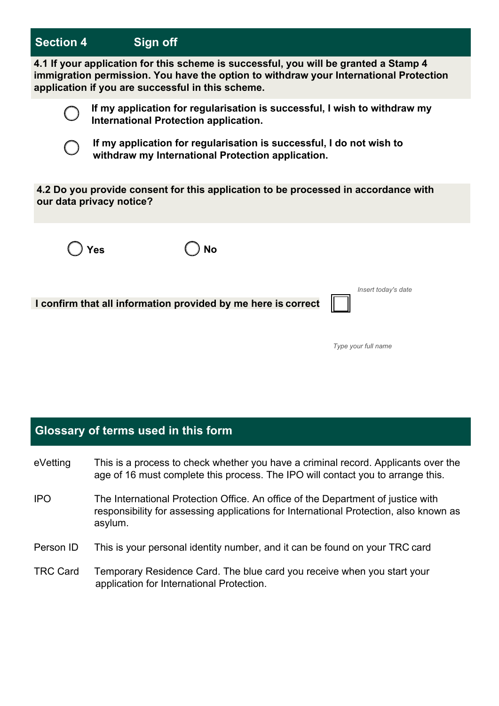#### **Section 4 Sign off**

**4.1 If your application for this scheme is successful, you will be granted a Stamp 4 immigration permission. You have the option to withdraw your International Protection application if you are successful in this scheme.**



**If my application for regularisation is successful, I wish to withdraw my International Protection application.**

**If my application for regularisation is successful, I do not wish to withdraw my International Protection application.**

**4.2 Do you provide consent for this application to be processed in accordance with our data privacy notice?**



**Yes No**

**I confirm that all information provided by me here is correct**

*Insert today's date*

*Type your full name*

#### **Glossary of terms used in this form**

eVetting IPO This is a process to check whether you have a criminal record. Applicants over the age of 16 must complete this process. The IPO will contact you to arrange this. The International Protection Office. An office of the Department of justice with responsibility for assessing applications for International Protection, also known as asylum. Person ID This is your personal identity number, and it can be found on your TRC card TRC Card Temporary Residence Card. The blue card you receive when you start your application for International Protection.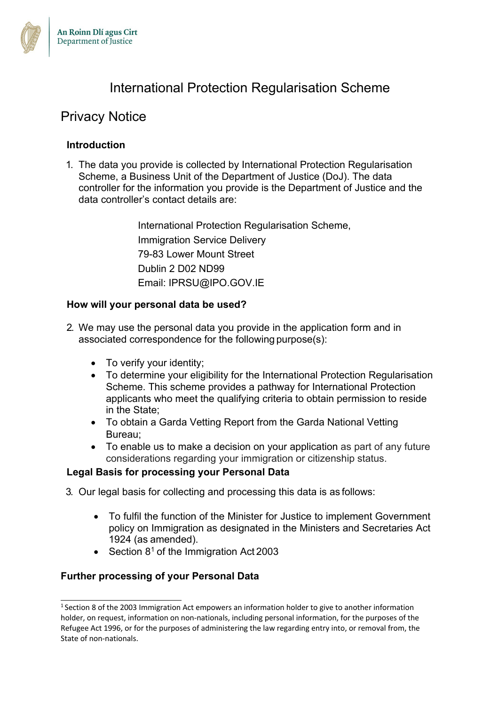

# International Protection Regularisation Scheme

## Privacy Notice

#### **Introduction**

1. The data you provide is collected by International Protection Regularisation Scheme, a Business Unit of the Department of Justice (DoJ). The data controller for the information you provide is the Department of Justice and the data controller's contact details are:

> International Protection Regularisation Scheme, Immigration Service Delivery 79-83 Lower Mount Street Dublin 2 D02 ND99 Email: IPRSU@IPO.GOV.IE

#### **How will your personal data be used?**

- 2. We may use the personal data you provide in the application form and in associated correspondence for the following purpose(s):
	- To verify your identity;
	- To determine your eligibility for the International Protection Regularisation Scheme. This scheme provides a pathway for International Protection applicants who meet the qualifying criteria to obtain permission to reside in the State;
	- To obtain a Garda Vetting Report from the Garda National Vetting Bureau;
	- To enable us to make a decision on your application as part of any future considerations regarding your immigration or citizenship status.

#### **Legal Basis for processing your Personal Data**

- 3. Our legal basis for collecting and processing this data is as follows:
	- To fulfil the function of the Minister for Justice to implement Government policy on Immigration as designated in the Ministers and Secretaries Act 1924 (as amended).
	- Section  $8^1$  of the Immigration Act 2003

#### **Further processing of your Personal Data**

 $1$  Section 8 of the 2003 Immigration Act empowers an information holder to give to another information holder, on request, information on non-nationals, including personal information, for the purposes of the Refugee Act 1996, or for the purposes of administering the law regarding entry into, or removal from, the State of non-nationals.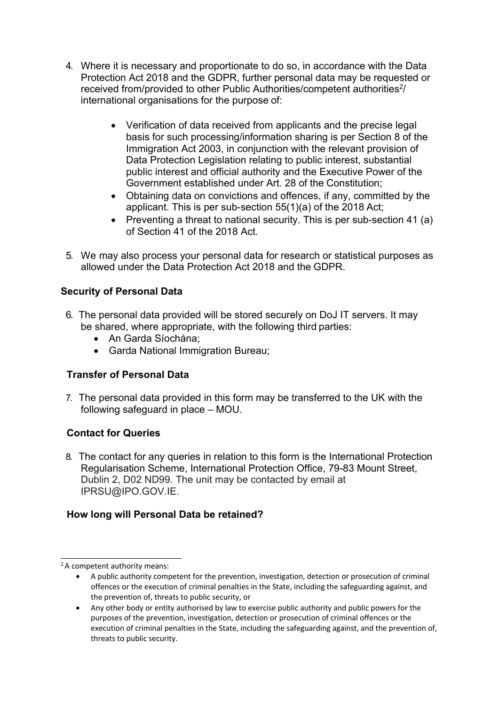- 4. Where it is necessary and proportionate to do so, in accordance with the Data Protection Act 2018 and the GDPR, further personal data may be requested or received from/provided to other Public Authorities/competent authorities<sup>2</sup>/ international organisations for the purpose of:
	- Verification of data received from applicants and the precise legal basis for such processing/information sharing is per Section 8 of the Immigration Act 2003, in conjunction with the relevant provision of Data Protection Legislation relating to public interest, substantial public interest and official authority and the Executive Power of the Government established under Art. 28 of the Constitution;
	- Obtaining data on convictions and offences, if any, committed by the applicant. This is per sub-section 55(1)(a) of the 2018 Act;
	- Preventing a threat to national security. This is per sub-section 41 (a) of Section 41 of the 2018 Act.
- 5. We may also process your personal data for research or statistical purposes as allowed under the Data Protection Act 2018 and the GDPR.

#### **Security of Personal Data**

- 6. The personal data provided will be stored securely on DoJ IT servers. It may be shared, where appropriate, with the following third parties:
	- An Garda Síochána;
	- Garda National Immigration Bureau;

#### **Transfer of Personal Data**

7. The personal data provided in this form may be transferred to the UK with the following safeguard in place – MOU.

#### **Contact for Queries**

8. The contact for any queries in relation to this form is the International Protection Regularisation Scheme, International Protection Office, 79-83 Mount Street, Dublin 2, D02 ND99. The unit may be contacted by email at IPRSU@IPO.GOV.IE.

#### **How long will Personal Data be retained?**

<sup>&</sup>lt;sup>2</sup> A competent authority means:

<sup>•</sup> A public authority competent for the prevention, investigation, detection or prosecution of criminal offences or the execution of criminal penalties in the State, including the safeguarding against, and the prevention of, threats to public security, or

<sup>•</sup> Any other body or entity authorised by law to exercise public authority and public powers for the purposes of the prevention, investigation, detection or prosecution of criminal offences or the execution of criminal penalties in the State, including the safeguarding against, and the prevention of, threats to public security.